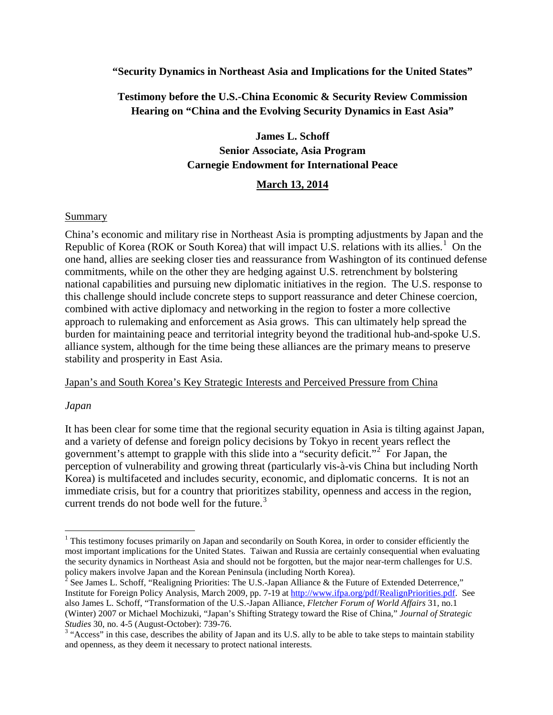#### **"Security Dynamics in Northeast Asia and Implications for the United States"**

## **Testimony before the U.S.-China Economic & Security Review Commission Hearing on "China and the Evolving Security Dynamics in East Asia"**

# **James L. Schoff Senior Associate, Asia Program Carnegie Endowment for International Peace**

#### **March 13, 2014**

#### **Summary**

China's economic and military rise in Northeast Asia is prompting adjustments by Japan and the Republic of Korea (ROK or South Korea) that will impact U.S. relations with its allies.<sup>[1](#page-0-0)</sup> On the one hand, allies are seeking closer ties and reassurance from Washington of its continued defense commitments, while on the other they are hedging against U.S. retrenchment by bolstering national capabilities and pursuing new diplomatic initiatives in the region. The U.S. response to this challenge should include concrete steps to support reassurance and deter Chinese coercion, combined with active diplomacy and networking in the region to foster a more collective approach to rulemaking and enforcement as Asia grows. This can ultimately help spread the burden for maintaining peace and territorial integrity beyond the traditional hub-and-spoke U.S. alliance system, although for the time being these alliances are the primary means to preserve stability and prosperity in East Asia.

#### Japan's and South Korea's Key Strategic Interests and Perceived Pressure from China

#### *Japan*

 $\overline{\phantom{a}}$ 

It has been clear for some time that the regional security equation in Asia is tilting against Japan, and a variety of defense and foreign policy decisions by Tokyo in recent years reflect the government's attempt to grapple with this slide into a "security deficit."<sup>[2](#page-0-1)</sup> For Japan, the perception of vulnerability and growing threat (particularly vis-à-vis China but including North Korea) is multifaceted and includes security, economic, and diplomatic concerns. It is not an immediate crisis, but for a country that prioritizes stability, openness and access in the region, current trends do not bode well for the future.<sup>[3](#page-0-2)</sup>

<span id="page-0-0"></span><sup>&</sup>lt;sup>1</sup> This testimony focuses primarily on Japan and secondarily on South Korea, in order to consider efficiently the most important implications for the United States. Taiwan and Russia are certainly consequential when evaluating the security dynamics in Northeast Asia and should not be forgotten, but the major near-term challenges for U.S. policy makers involve Japan and the Korean Peninsula (including North Korea).

<span id="page-0-1"></span><sup>&</sup>lt;sup>2</sup> See James L. Schoff, "Realigning Priorities: The U.S.-Japan Alliance & the Future of Extended Deterrence," Institute for Foreign Policy Analysis, March 2009, pp. 7-19 at [http://www.ifpa.org/pdf/RealignPriorities.pdf.](http://www.ifpa.org/pdf/RealignPriorities.pdf) See also James L. Schoff, "Transformation of the U.S.-Japan Alliance, *Fletcher Forum of World Affairs* 31, no.1 (Winter) 2007 or Michael Mochizuki, "Japan's Shifting Strategy toward the Rise of China," *Journal of Strategic* 

<span id="page-0-2"></span>*Studies* 30, no. 4-5 (August-October): 739-76.<br><sup>3</sup> "Access" in this case, describes the ability of Japan and its U.S. ally to be able to take steps to maintain stability and openness, as they deem it necessary to protect national interests.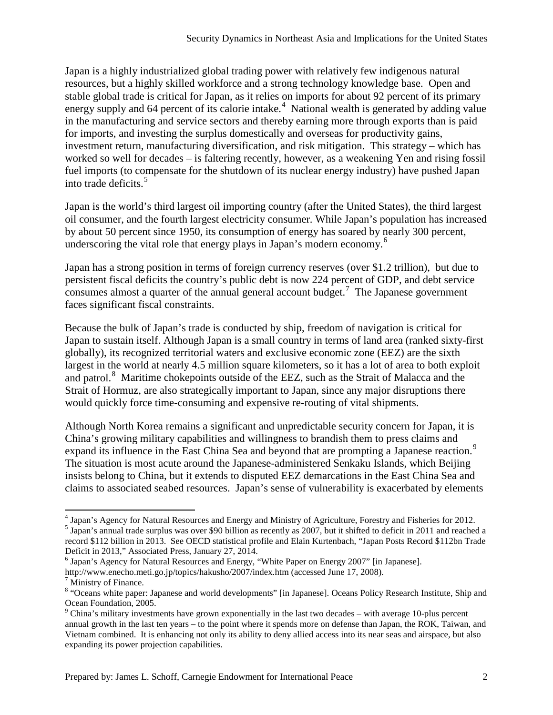Japan is a highly industrialized global trading power with relatively few indigenous natural resources, but a highly skilled workforce and a strong technology knowledge base. Open and stable global trade is critical for Japan, as it relies on imports for about 92 percent of its primary energy supply and 6[4](#page-1-0) percent of its calorie intake.<sup>4</sup> National wealth is generated by adding value in the manufacturing and service sectors and thereby earning more through exports than is paid for imports, and investing the surplus domestically and overseas for productivity gains, investment return, manufacturing diversification, and risk mitigation. This strategy – which has worked so well for decades – is faltering recently, however, as a weakening Yen and rising fossil fuel imports (to compensate for the shutdown of its nuclear energy industry) have pushed Japan into trade deficits. [5](#page-1-1)

Japan is the world's third largest oil importing country (after the United States), the third largest oil consumer, and the fourth largest electricity consumer. While Japan's population has increased by about 50 percent since 1950, its consumption of energy has soared by nearly 300 percent, underscoring the vital role that energy plays in Japan's modern economy.<sup>[6](#page-1-2)</sup>

Japan has a strong position in terms of foreign currency reserves (over \$1.2 trillion), but due to persistent fiscal deficits the country's public debt is now 224 percent of GDP, and debt service consumes almost a quarter of the annual general account budget.<sup>[7](#page-1-3)</sup> The Japanese government faces significant fiscal constraints.

Because the bulk of Japan's trade is conducted by ship, freedom of navigation is critical for Japan to sustain itself. Although Japan is a small country in terms of land area (ranked sixty-first globally), its recognized territorial waters and exclusive economic zone (EEZ) are the sixth largest in the world at nearly 4.5 million square kilometers, so it has a lot of area to both exploit and patrol.<sup>[8](#page-1-4)</sup> Maritime chokepoints outside of the EEZ, such as the Strait of Malacca and the Strait of Hormuz, are also strategically important to Japan, since any major disruptions there would quickly force time-consuming and expensive re-routing of vital shipments.

Although North Korea remains a significant and unpredictable security concern for Japan, it is China's growing military capabilities and willingness to brandish them to press claims and expand its influence in the East China Sea and beyond that are prompting a Japanese reaction.<sup>[9](#page-1-5)</sup> The situation is most acute around the Japanese-administered Senkaku Islands, which Beijing insists belong to China, but it extends to disputed EEZ demarcations in the East China Sea and claims to associated seabed resources. Japan's sense of vulnerability is exacerbated by elements

<span id="page-1-2"></span><sup>6</sup> Japan's Agency for Natural Resources and Energy, "White Paper on Energy 2007" [in Japanese]. http://www.enecho.meti.go.jp/topics/hakusho/2007/index.htm (accessed June 17, 2008).

l

<span id="page-1-0"></span><sup>&</sup>lt;sup>4</sup> Japan's Agency for Natural Resources and Energy and Ministry of Agriculture, Forestry and Fisheries for 2012.<br><sup>5</sup> Japan's annual trade surplus was over \$90 billion as recently as 2007, but it shifted to deficit in 201

<span id="page-1-1"></span>record \$112 billion in 2013. See OECD statistical profile and Elain Kurtenbach, "Japan Posts Record \$112bn Trade Deficit in 2013," Associated Press, January 27, 2014.

<span id="page-1-3"></span> $<sup>7</sup>$  Ministry of Finance.</sup>

<span id="page-1-4"></span><sup>&</sup>lt;sup>8</sup> "Oceans white paper: Japanese and world developments" [in Japanese]. Oceans Policy Research Institute, Ship and Ocean Foundation. 2005.

<span id="page-1-5"></span> $\degree$  China's military investments have grown exponentially in the last two decades – with average 10-plus percent annual growth in the last ten years – to the point where it spends more on defense than Japan, the ROK, Taiwan, and Vietnam combined. It is enhancing not only its ability to deny allied access into its near seas and airspace, but also expanding its power projection capabilities.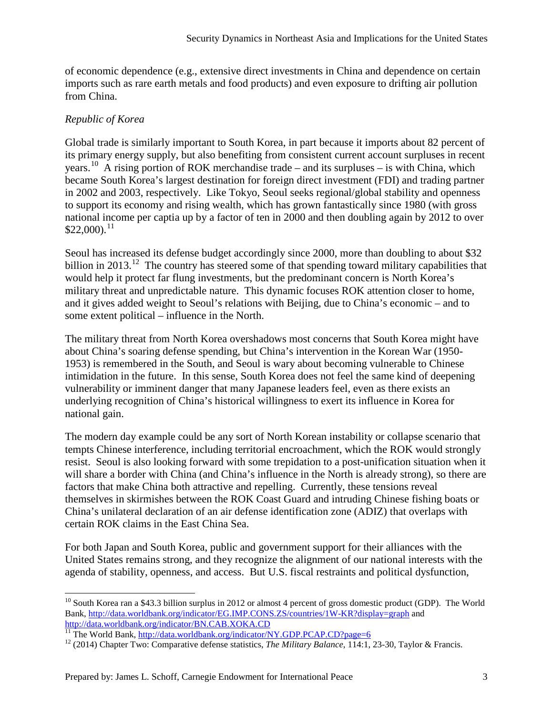of economic dependence (e.g., extensive direct investments in China and dependence on certain imports such as rare earth metals and food products) and even exposure to drifting air pollution from China.

## *Republic of Korea*

Global trade is similarly important to South Korea, in part because it imports about 82 percent of its primary energy supply, but also benefiting from consistent current account surpluses in recent years.<sup>10</sup> A rising portion of ROK merchandise trade – and its surpluses – is with China, which became South Korea's largest destination for foreign direct investment (FDI) and trading partner in 2002 and 2003, respectively. Like Tokyo, Seoul seeks regional/global stability and openness to support its economy and rising wealth, which has grown fantastically since 1980 (with gross national income per captia up by a factor of ten in 2000 and then doubling again by 2012 to over  $$22,000$ ).<sup>[11](#page-2-1)</sup>

Seoul has increased its defense budget accordingly since 2000, more than doubling to about \$32 billion in 2013.<sup>[12](#page-2-2)</sup> The country has steered some of that spending toward military capabilities that would help it protect far flung investments, but the predominant concern is North Korea's military threat and unpredictable nature. This dynamic focuses ROK attention closer to home, and it gives added weight to Seoul's relations with Beijing, due to China's economic – and to some extent political – influence in the North.

The military threat from North Korea overshadows most concerns that South Korea might have about China's soaring defense spending, but China's intervention in the Korean War (1950- 1953) is remembered in the South, and Seoul is wary about becoming vulnerable to Chinese intimidation in the future. In this sense, South Korea does not feel the same kind of deepening vulnerability or imminent danger that many Japanese leaders feel, even as there exists an underlying recognition of China's historical willingness to exert its influence in Korea for national gain.

The modern day example could be any sort of North Korean instability or collapse scenario that tempts Chinese interference, including territorial encroachment, which the ROK would strongly resist. Seoul is also looking forward with some trepidation to a post-unification situation when it will share a border with China (and China's influence in the North is already strong), so there are factors that make China both attractive and repelling. Currently, these tensions reveal themselves in skirmishes between the ROK Coast Guard and intruding Chinese fishing boats or China's unilateral declaration of an air defense identification zone (ADIZ) that overlaps with certain ROK claims in the East China Sea.

For both Japan and South Korea, public and government support for their alliances with the United States remains strong, and they recognize the alignment of our national interests with the agenda of stability, openness, and access. But U.S. fiscal restraints and political dysfunction,

<span id="page-2-0"></span> $10$  South Korea ran a \$43.3 billion surplus in 2012 or almost 4 percent of gross domestic product (GDP). The World Bank,<http://data.worldbank.org/indicator/EG.IMP.CONS.ZS/countries/1W-KR?display=graph> and <http://data.worldbank.org/indicator/BN.CAB.XOKA.CD><br>
<sup>11</sup> The World Bank,<http://data.worldbank.org/indicator/NY.GDP.PCAP.CD?page=6><br>
<sup>12</sup> (2014) Chapter Two: Comparative defense statistics, *The Military Balance*, 114:1, 23  $\overline{\phantom{a}}$ 

<span id="page-2-1"></span>

<span id="page-2-2"></span>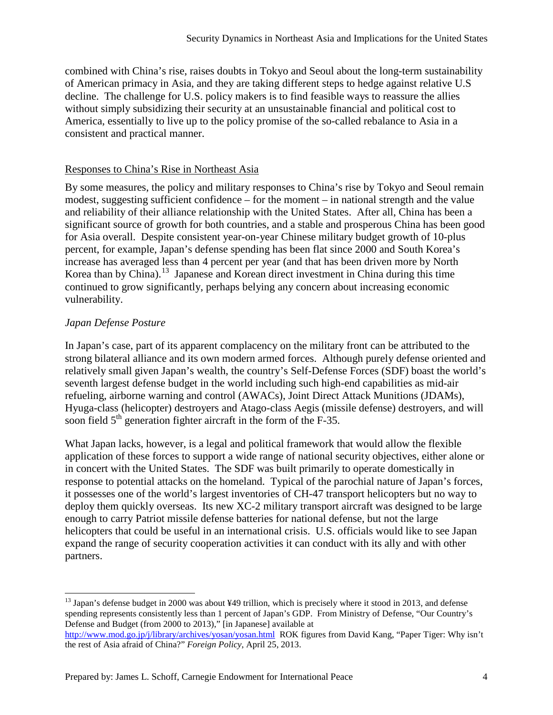combined with China's rise, raises doubts in Tokyo and Seoul about the long-term sustainability of American primacy in Asia, and they are taking different steps to hedge against relative U.S decline. The challenge for U.S. policy makers is to find feasible ways to reassure the allies without simply subsidizing their security at an unsustainable financial and political cost to America, essentially to live up to the policy promise of the so-called rebalance to Asia in a consistent and practical manner.

#### Responses to China's Rise in Northeast Asia

By some measures, the policy and military responses to China's rise by Tokyo and Seoul remain modest, suggesting sufficient confidence – for the moment – in national strength and the value and reliability of their alliance relationship with the United States. After all, China has been a significant source of growth for both countries, and a stable and prosperous China has been good for Asia overall. Despite consistent year-on-year Chinese military budget growth of 10-plus percent, for example, Japan's defense spending has been flat since 2000 and South Korea's increase has averaged less than 4 percent per year (and that has been driven more by North Korea than by China).<sup>[13](#page-3-0)</sup> Japanese and Korean direct investment in China during this time continued to grow significantly, perhaps belying any concern about increasing economic vulnerability.

## *Japan Defense Posture*

In Japan's case, part of its apparent complacency on the military front can be attributed to the strong bilateral alliance and its own modern armed forces. Although purely defense oriented and relatively small given Japan's wealth, the country's Self-Defense Forces (SDF) boast the world's seventh largest defense budget in the world including such high-end capabilities as mid-air refueling, airborne warning and control (AWACs), Joint Direct Attack Munitions (JDAMs), Hyuga-class (helicopter) destroyers and Atago-class Aegis (missile defense) destroyers, and will soon field  $5<sup>th</sup>$  generation fighter aircraft in the form of the F-35.

What Japan lacks, however, is a legal and political framework that would allow the flexible application of these forces to support a wide range of national security objectives, either alone or in concert with the United States. The SDF was built primarily to operate domestically in response to potential attacks on the homeland. Typical of the parochial nature of Japan's forces, it possesses one of the world's largest inventories of CH-47 transport helicopters but no way to deploy them quickly overseas. Its new XC-2 military transport aircraft was designed to be large enough to carry Patriot missile defense batteries for national defense, but not the large helicopters that could be useful in an international crisis. U.S. officials would like to see Japan expand the range of security cooperation activities it can conduct with its ally and with other partners.

<span id="page-3-0"></span> $^{13}$  Japan's defense budget in 2000 was about ¥49 trillion, which is precisely where it stood in 2013, and defense spending represents consistently less than 1 percent of Japan's GDP. From Ministry of Defense, "Our Country's Defense and Budget (from 2000 to 2013)," [in Japanese] available at <http://www.mod.go.jp/j/library/archives/yosan/yosan.html> ROK figures from David Kang, "Paper Tiger: Why isn't  $\overline{\phantom{a}}$ 

the rest of Asia afraid of China?" *Foreign Policy*, April 25, 2013.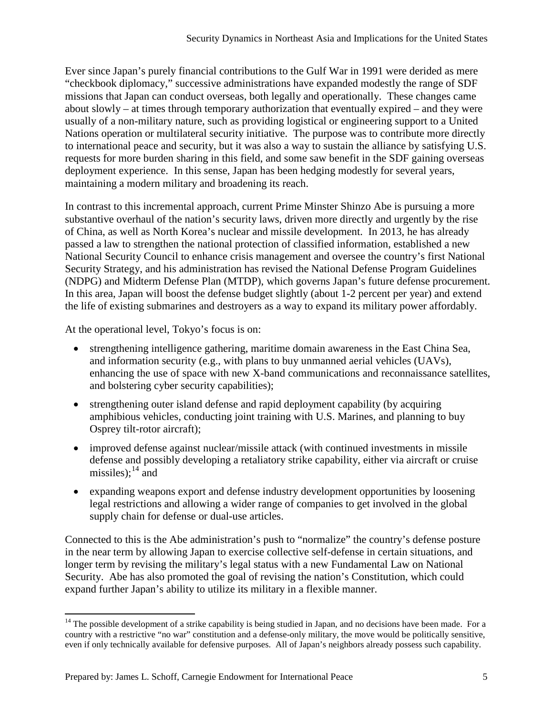Ever since Japan's purely financial contributions to the Gulf War in 1991 were derided as mere "checkbook diplomacy," successive administrations have expanded modestly the range of SDF missions that Japan can conduct overseas, both legally and operationally. These changes came about slowly – at times through temporary authorization that eventually expired – and they were usually of a non-military nature, such as providing logistical or engineering support to a United Nations operation or multilateral security initiative. The purpose was to contribute more directly to international peace and security, but it was also a way to sustain the alliance by satisfying U.S. requests for more burden sharing in this field, and some saw benefit in the SDF gaining overseas deployment experience. In this sense, Japan has been hedging modestly for several years, maintaining a modern military and broadening its reach.

In contrast to this incremental approach, current Prime Minster Shinzo Abe is pursuing a more substantive overhaul of the nation's security laws, driven more directly and urgently by the rise of China, as well as North Korea's nuclear and missile development. In 2013, he has already passed a law to strengthen the national protection of classified information, established a new National Security Council to enhance crisis management and oversee the country's first National Security Strategy, and his administration has revised the National Defense Program Guidelines (NDPG) and Midterm Defense Plan (MTDP), which governs Japan's future defense procurement. In this area, Japan will boost the defense budget slightly (about 1-2 percent per year) and extend the life of existing submarines and destroyers as a way to expand its military power affordably.

At the operational level, Tokyo's focus is on:

- strengthening intelligence gathering, maritime domain awareness in the East China Sea, and information security (e.g., with plans to buy unmanned aerial vehicles (UAVs), enhancing the use of space with new X-band communications and reconnaissance satellites, and bolstering cyber security capabilities);
- strengthening outer island defense and rapid deployment capability (by acquiring amphibious vehicles, conducting joint training with U.S. Marines, and planning to buy Osprey tilt-rotor aircraft);
- improved defense against nuclear/missile attack (with continued investments in missile defense and possibly developing a retaliatory strike capability, either via aircraft or cruise missiles);  $14 \text{ and}$  $14 \text{ and}$
- expanding weapons export and defense industry development opportunities by loosening legal restrictions and allowing a wider range of companies to get involved in the global supply chain for defense or dual-use articles.

Connected to this is the Abe administration's push to "normalize" the country's defense posture in the near term by allowing Japan to exercise collective self-defense in certain situations, and longer term by revising the military's legal status with a new Fundamental Law on National Security. Abe has also promoted the goal of revising the nation's Constitution, which could expand further Japan's ability to utilize its military in a flexible manner.

<span id="page-4-0"></span><sup>&</sup>lt;sup>14</sup> The possible development of a strike capability is being studied in Japan, and no decisions have been made. For a country with a restrictive "no war" constitution and a defense-only military, the move would be politically sensitive, even if only technically available for defensive purposes. All of Japan's neighbors already possess such capability.  $\overline{\phantom{a}}$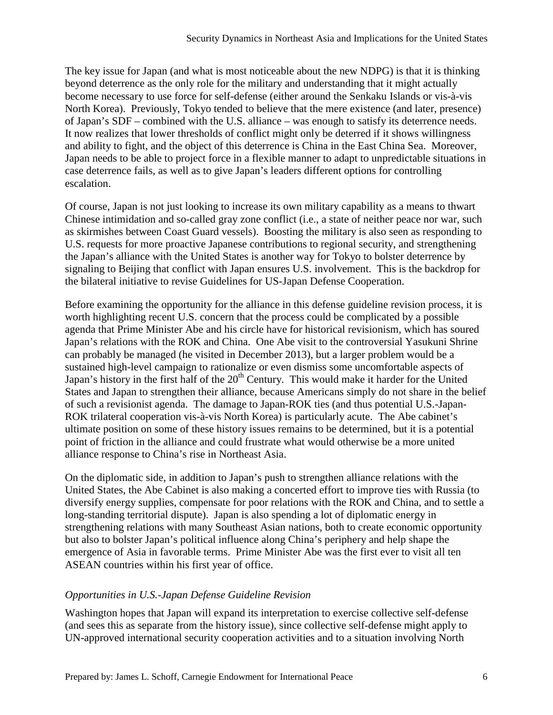The key issue for Japan (and what is most noticeable about the new NDPG) is that it is thinking beyond deterrence as the only role for the military and understanding that it might actually become necessary to use force for self-defense (either around the Senkaku Islands or vis-à-vis North Korea). Previously, Tokyo tended to believe that the mere existence (and later, presence) of Japan's SDF – combined with the U.S. alliance – was enough to satisfy its deterrence needs. It now realizes that lower thresholds of conflict might only be deterred if it shows willingness and ability to fight, and the object of this deterrence is China in the East China Sea. Moreover, Japan needs to be able to project force in a flexible manner to adapt to unpredictable situations in case deterrence fails, as well as to give Japan's leaders different options for controlling escalation.

Of course, Japan is not just looking to increase its own military capability as a means to thwart Chinese intimidation and so-called gray zone conflict (i.e., a state of neither peace nor war, such as skirmishes between Coast Guard vessels). Boosting the military is also seen as responding to U.S. requests for more proactive Japanese contributions to regional security, and strengthening the Japan's alliance with the United States is another way for Tokyo to bolster deterrence by signaling to Beijing that conflict with Japan ensures U.S. involvement. This is the backdrop for the bilateral initiative to revise Guidelines for US-Japan Defense Cooperation.

Before examining the opportunity for the alliance in this defense guideline revision process, it is worth highlighting recent U.S. concern that the process could be complicated by a possible agenda that Prime Minister Abe and his circle have for historical revisionism, which has soured Japan's relations with the ROK and China. One Abe visit to the controversial Yasukuni Shrine can probably be managed (he visited in December 2013), but a larger problem would be a sustained high-level campaign to rationalize or even dismiss some uncomfortable aspects of Japan's history in the first half of the 20<sup>th</sup> Century. This would make it harder for the United States and Japan to strengthen their alliance, because Americans simply do not share in the belief of such a revisionist agenda. The damage to Japan-ROK ties (and thus potential U.S.-Japan-ROK trilateral cooperation vis-à-vis North Korea) is particularly acute. The Abe cabinet's ultimate position on some of these history issues remains to be determined, but it is a potential point of friction in the alliance and could frustrate what would otherwise be a more united alliance response to China's rise in Northeast Asia.

On the diplomatic side, in addition to Japan's push to strengthen alliance relations with the United States, the Abe Cabinet is also making a concerted effort to improve ties with Russia (to diversify energy supplies, compensate for poor relations with the ROK and China, and to settle a long-standing territorial dispute). Japan is also spending a lot of diplomatic energy in strengthening relations with many Southeast Asian nations, both to create economic opportunity but also to bolster Japan's political influence along China's periphery and help shape the emergence of Asia in favorable terms. Prime Minister Abe was the first ever to visit all ten ASEAN countries within his first year of office.

## *Opportunities in U.S.-Japan Defense Guideline Revision*

Washington hopes that Japan will expand its interpretation to exercise collective self-defense (and sees this as separate from the history issue), since collective self-defense might apply to UN-approved international security cooperation activities and to a situation involving North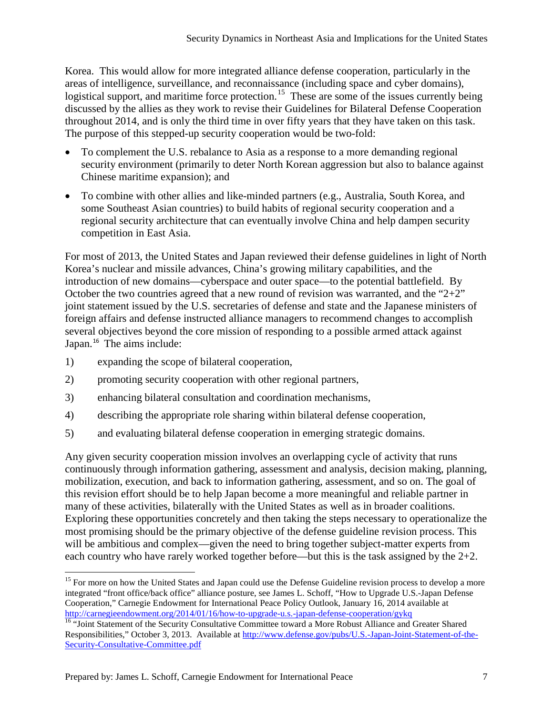Korea. This would allow for more integrated alliance defense cooperation, particularly in the areas of intelligence, surveillance, and reconnaissance (including space and cyber domains), logistical support, and maritime force protection.<sup>15</sup> These are some of the issues currently being discussed by the allies as they work to revise their Guidelines for Bilateral Defense Cooperation throughout 2014, and is only the third time in over fifty years that they have taken on this task. The purpose of this stepped-up security cooperation would be two-fold:

- To complement the U.S. rebalance to Asia as a response to a more demanding regional security environment (primarily to deter North Korean aggression but also to balance against Chinese maritime expansion); and
- To combine with other allies and like-minded partners (e.g., Australia, South Korea, and some Southeast Asian countries) to build habits of regional security cooperation and a regional security architecture that can eventually involve China and help dampen security competition in East Asia.

For most of 2013, the United States and Japan reviewed their defense guidelines in light of North Korea's nuclear and missile advances, China's growing military capabilities, and the introduction of new domains—cyberspace and outer space—to the potential battlefield. By October the two countries agreed that a new round of revision was warranted, and the " $2+2$ " joint statement issued by the U.S. secretaries of defense and state and the Japanese ministers of foreign affairs and defense instructed alliance managers to recommend changes to accomplish several objectives beyond the core mission of responding to a possible armed attack against Japan.<sup>[16](#page-6-1)</sup> The aims include:

1) expanding the scope of bilateral cooperation,

l

- 2) promoting security cooperation with other regional partners,
- 3) enhancing bilateral consultation and coordination mechanisms,
- 4) describing the appropriate role sharing within bilateral defense cooperation,
- 5) and evaluating bilateral defense cooperation in emerging strategic domains.

Any given security cooperation mission involves an overlapping cycle of activity that runs continuously through information gathering, assessment and analysis, decision making, planning, mobilization, execution, and back to information gathering, assessment, and so on. The goal of this revision effort should be to help Japan become a more meaningful and reliable partner in many of these activities, bilaterally with the United States as well as in broader coalitions. Exploring these opportunities concretely and then taking the steps necessary to operationalize the most promising should be the primary objective of the defense guideline revision process. This will be ambitious and complex—given the need to bring together subject-matter experts from each country who have rarely worked together before—but this is the task assigned by the 2+2.

<span id="page-6-0"></span><sup>&</sup>lt;sup>15</sup> For more on how the United States and Japan could use the Defense Guideline revision process to develop a more integrated "front office/back office" alliance posture, see James L. Schoff, "How to Upgrade U.S.-Japan Defense Cooperation," Carnegie Endowment for International Peace Policy Outlook, January 16, 2014 available at <http://carnegieendowment.org/2014/01/16/how-to-upgrade-u.s.-japan-defense-cooperation/gykq><br><sup>16</sup> "Joint Statement of the Security Consultative Committee toward a More Robust Alliance and Greater Shared

<span id="page-6-1"></span>Responsibilities," October 3, 2013. Available a[t http://www.defense.gov/pubs/U.S.-Japan-Joint-Statement-of-the-](http://www.defense.gov/pubs/U.S.-Japan-Joint-Statement-of-the-Security-Consultative-Committee.pdf)[Security-Consultative-Committee.pdf](http://www.defense.gov/pubs/U.S.-Japan-Joint-Statement-of-the-Security-Consultative-Committee.pdf)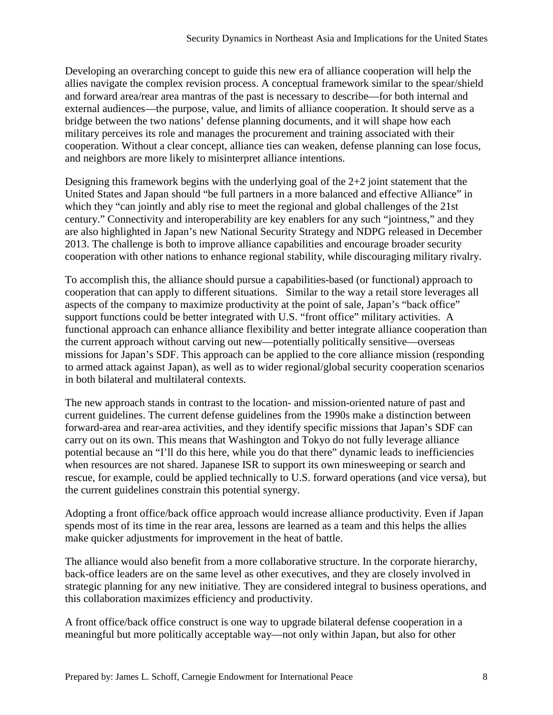Developing an overarching concept to guide this new era of alliance cooperation will help the allies navigate the complex revision process. A conceptual framework similar to the spear/shield and forward area/rear area mantras of the past is necessary to describe—for both internal and external audiences—the purpose, value, and limits of alliance cooperation. It should serve as a bridge between the two nations' defense planning documents, and it will shape how each military perceives its role and manages the procurement and training associated with their cooperation. Without a clear concept, alliance ties can weaken, defense planning can lose focus, and neighbors are more likely to misinterpret alliance intentions.

Designing this framework begins with the underlying goal of the 2+2 joint statement that the United States and Japan should "be full partners in a more balanced and effective Alliance" in which they "can jointly and ably rise to meet the regional and global challenges of the 21st century." Connectivity and interoperability are key enablers for any such "jointness," and they are also highlighted in Japan's new National Security Strategy and NDPG released in December 2013. The challenge is both to improve alliance capabilities and encourage broader security cooperation with other nations to enhance regional stability, while discouraging military rivalry.

To accomplish this, the alliance should pursue a capabilities-based (or functional) approach to cooperation that can apply to different situations. Similar to the way a retail store leverages all aspects of the company to maximize productivity at the point of sale, Japan's "back office" support functions could be better integrated with U.S. "front office" military activities. A functional approach can enhance alliance flexibility and better integrate alliance cooperation than the current approach without carving out new—potentially politically sensitive—overseas missions for Japan's SDF. This approach can be applied to the core alliance mission (responding to armed attack against Japan), as well as to wider regional/global security cooperation scenarios in both bilateral and multilateral contexts.

The new approach stands in contrast to the location- and mission-oriented nature of past and current guidelines. The current defense guidelines from the 1990s make a distinction between forward-area and rear-area activities, and they identify specific missions that Japan's SDF can carry out on its own. This means that Washington and Tokyo do not fully leverage alliance potential because an "I'll do this here, while you do that there" dynamic leads to inefficiencies when resources are not shared. Japanese ISR to support its own minesweeping or search and rescue, for example, could be applied technically to U.S. forward operations (and vice versa), but the current guidelines constrain this potential synergy.

Adopting a front office/back office approach would increase alliance productivity. Even if Japan spends most of its time in the rear area, lessons are learned as a team and this helps the allies make quicker adjustments for improvement in the heat of battle.

The alliance would also benefit from a more collaborative structure. In the corporate hierarchy, back-office leaders are on the same level as other executives, and they are closely involved in strategic planning for any new initiative. They are considered integral to business operations, and this collaboration maximizes efficiency and productivity.

A front office/back office construct is one way to upgrade bilateral defense cooperation in a meaningful but more politically acceptable way—not only within Japan, but also for other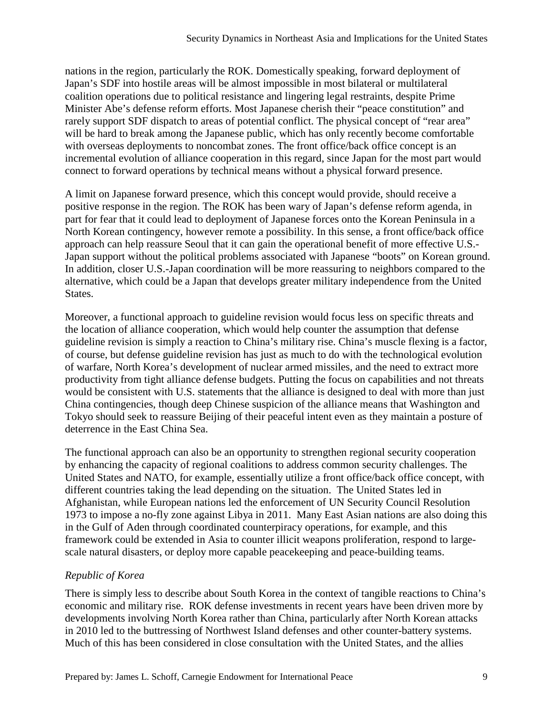nations in the region, particularly the ROK. Domestically speaking, forward deployment of Japan's SDF into hostile areas will be almost impossible in most bilateral or multilateral coalition operations due to political resistance and lingering legal restraints, despite Prime Minister Abe's defense reform efforts. Most Japanese cherish their "peace constitution" and rarely support SDF dispatch to areas of potential conflict. The physical concept of "rear area" will be hard to break among the Japanese public, which has only recently become comfortable with overseas deployments to noncombat zones. The front office/back office concept is an incremental evolution of alliance cooperation in this regard, since Japan for the most part would connect to forward operations by technical means without a physical forward presence.

A limit on Japanese forward presence, which this concept would provide, should receive a positive response in the region. The ROK has been wary of Japan's defense reform agenda, in part for fear that it could lead to deployment of Japanese forces onto the Korean Peninsula in a North Korean contingency, however remote a possibility. In this sense, a front office/back office approach can help reassure Seoul that it can gain the operational benefit of more effective U.S.- Japan support without the political problems associated with Japanese "boots" on Korean ground. In addition, closer U.S.-Japan coordination will be more reassuring to neighbors compared to the alternative, which could be a Japan that develops greater military independence from the United States.

Moreover, a functional approach to guideline revision would focus less on specific threats and the location of alliance cooperation, which would help counter the assumption that defense guideline revision is simply a reaction to China's military rise. China's muscle flexing is a factor, of course, but defense guideline revision has just as much to do with the technological evolution of warfare, North Korea's development of nuclear armed missiles, and the need to extract more productivity from tight alliance defense budgets. Putting the focus on capabilities and not threats would be consistent with U.S. statements that the alliance is designed to deal with more than just China contingencies, though deep Chinese suspicion of the alliance means that Washington and Tokyo should seek to reassure Beijing of their peaceful intent even as they maintain a posture of deterrence in the East China Sea.

The functional approach can also be an opportunity to strengthen regional security cooperation by enhancing the capacity of regional coalitions to address common security challenges. The United States and NATO, for example, essentially utilize a front office/back office concept, with different countries taking the lead depending on the situation. The United States led in Afghanistan, while European nations led the enforcement of UN Security Council Resolution 1973 to impose a no-fly zone against Libya in 2011. Many East Asian nations are also doing this in the Gulf of Aden through coordinated counterpiracy operations, for example, and this framework could be extended in Asia to counter illicit weapons proliferation, respond to largescale natural disasters, or deploy more capable peacekeeping and peace-building teams.

## *Republic of Korea*

There is simply less to describe about South Korea in the context of tangible reactions to China's economic and military rise. ROK defense investments in recent years have been driven more by developments involving North Korea rather than China, particularly after North Korean attacks in 2010 led to the buttressing of Northwest Island defenses and other counter-battery systems. Much of this has been considered in close consultation with the United States, and the allies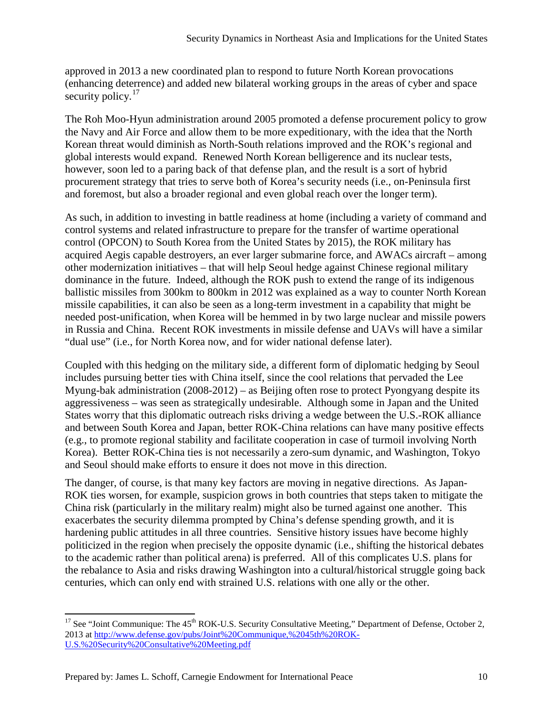approved in 2013 a new coordinated plan to respond to future North Korean provocations (enhancing deterrence) and added new bilateral working groups in the areas of cyber and space security policy. $17$ 

The Roh Moo-Hyun administration around 2005 promoted a defense procurement policy to grow the Navy and Air Force and allow them to be more expeditionary, with the idea that the North Korean threat would diminish as North-South relations improved and the ROK's regional and global interests would expand. Renewed North Korean belligerence and its nuclear tests, however, soon led to a paring back of that defense plan, and the result is a sort of hybrid procurement strategy that tries to serve both of Korea's security needs (i.e., on-Peninsula first and foremost, but also a broader regional and even global reach over the longer term).

As such, in addition to investing in battle readiness at home (including a variety of command and control systems and related infrastructure to prepare for the transfer of wartime operational control (OPCON) to South Korea from the United States by 2015), the ROK military has acquired Aegis capable destroyers, an ever larger submarine force, and AWACs aircraft – among other modernization initiatives – that will help Seoul hedge against Chinese regional military dominance in the future. Indeed, although the ROK push to extend the range of its indigenous ballistic missiles from 300km to 800km in 2012 was explained as a way to counter North Korean missile capabilities, it can also be seen as a long-term investment in a capability that might be needed post-unification, when Korea will be hemmed in by two large nuclear and missile powers in Russia and China. Recent ROK investments in missile defense and UAVs will have a similar "dual use" (i.e., for North Korea now, and for wider national defense later).

Coupled with this hedging on the military side, a different form of diplomatic hedging by Seoul includes pursuing better ties with China itself, since the cool relations that pervaded the Lee Myung-bak administration (2008-2012) – as Beijing often rose to protect Pyongyang despite its aggressiveness – was seen as strategically undesirable. Although some in Japan and the United States worry that this diplomatic outreach risks driving a wedge between the U.S.-ROK alliance and between South Korea and Japan, better ROK-China relations can have many positive effects (e.g., to promote regional stability and facilitate cooperation in case of turmoil involving North Korea). Better ROK-China ties is not necessarily a zero-sum dynamic, and Washington, Tokyo and Seoul should make efforts to ensure it does not move in this direction.

The danger, of course, is that many key factors are moving in negative directions. As Japan-ROK ties worsen, for example, suspicion grows in both countries that steps taken to mitigate the China risk (particularly in the military realm) might also be turned against one another. This exacerbates the security dilemma prompted by China's defense spending growth, and it is hardening public attitudes in all three countries. Sensitive history issues have become highly politicized in the region when precisely the opposite dynamic (i.e., shifting the historical debates to the academic rather than political arena) is preferred. All of this complicates U.S. plans for the rebalance to Asia and risks drawing Washington into a cultural/historical struggle going back centuries, which can only end with strained U.S. relations with one ally or the other.

 $\overline{\phantom{a}}$ 

<span id="page-9-0"></span> $17$  See "Joint Communique: The 45<sup>th</sup> ROK-U.S. Security Consultative Meeting," Department of Defense, October 2, 2013 at [http://www.defense.gov/pubs/Joint%20Communique,%2045th%20ROK-](http://www.defense.gov/pubs/Joint%20Communique,%2045th%20ROK-U.S.%20Security%20Consultative%20Meeting.pdf)[U.S.%20Security%20Consultative%20Meeting.pdf](http://www.defense.gov/pubs/Joint%20Communique,%2045th%20ROK-U.S.%20Security%20Consultative%20Meeting.pdf)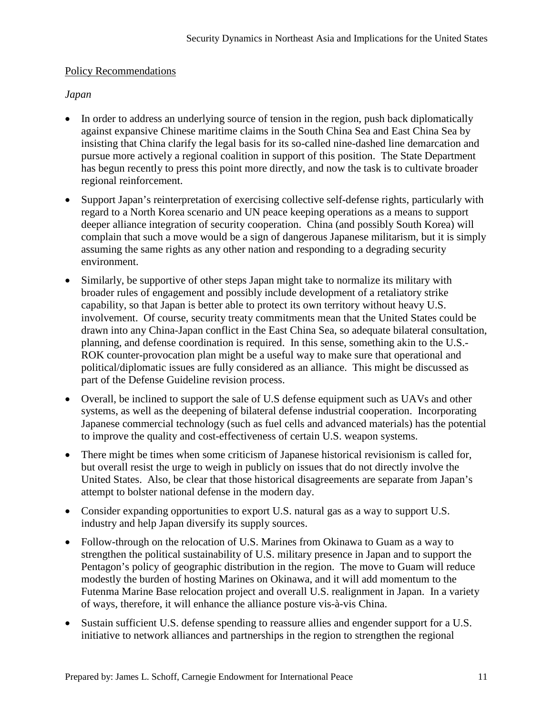### Policy Recommendations

## *Japan*

- In order to address an underlying source of tension in the region, push back diplomatically against expansive Chinese maritime claims in the South China Sea and East China Sea by insisting that China clarify the legal basis for its so-called nine-dashed line demarcation and pursue more actively a regional coalition in support of this position. The State Department has begun recently to press this point more directly, and now the task is to cultivate broader regional reinforcement.
- Support Japan's reinterpretation of exercising collective self-defense rights, particularly with regard to a North Korea scenario and UN peace keeping operations as a means to support deeper alliance integration of security cooperation. China (and possibly South Korea) will complain that such a move would be a sign of dangerous Japanese militarism, but it is simply assuming the same rights as any other nation and responding to a degrading security environment.
- Similarly, be supportive of other steps Japan might take to normalize its military with broader rules of engagement and possibly include development of a retaliatory strike capability, so that Japan is better able to protect its own territory without heavy U.S. involvement. Of course, security treaty commitments mean that the United States could be drawn into any China-Japan conflict in the East China Sea, so adequate bilateral consultation, planning, and defense coordination is required. In this sense, something akin to the U.S.- ROK counter-provocation plan might be a useful way to make sure that operational and political/diplomatic issues are fully considered as an alliance. This might be discussed as part of the Defense Guideline revision process.
- Overall, be inclined to support the sale of U.S defense equipment such as UAVs and other systems, as well as the deepening of bilateral defense industrial cooperation. Incorporating Japanese commercial technology (such as fuel cells and advanced materials) has the potential to improve the quality and cost-effectiveness of certain U.S. weapon systems.
- There might be times when some criticism of Japanese historical revisionism is called for, but overall resist the urge to weigh in publicly on issues that do not directly involve the United States. Also, be clear that those historical disagreements are separate from Japan's attempt to bolster national defense in the modern day.
- Consider expanding opportunities to export U.S. natural gas as a way to support U.S. industry and help Japan diversify its supply sources.
- Follow-through on the relocation of U.S. Marines from Okinawa to Guam as a way to strengthen the political sustainability of U.S. military presence in Japan and to support the Pentagon's policy of geographic distribution in the region. The move to Guam will reduce modestly the burden of hosting Marines on Okinawa, and it will add momentum to the Futenma Marine Base relocation project and overall U.S. realignment in Japan. In a variety of ways, therefore, it will enhance the alliance posture vis-à-vis China.
- Sustain sufficient U.S. defense spending to reassure allies and engender support for a U.S. initiative to network alliances and partnerships in the region to strengthen the regional